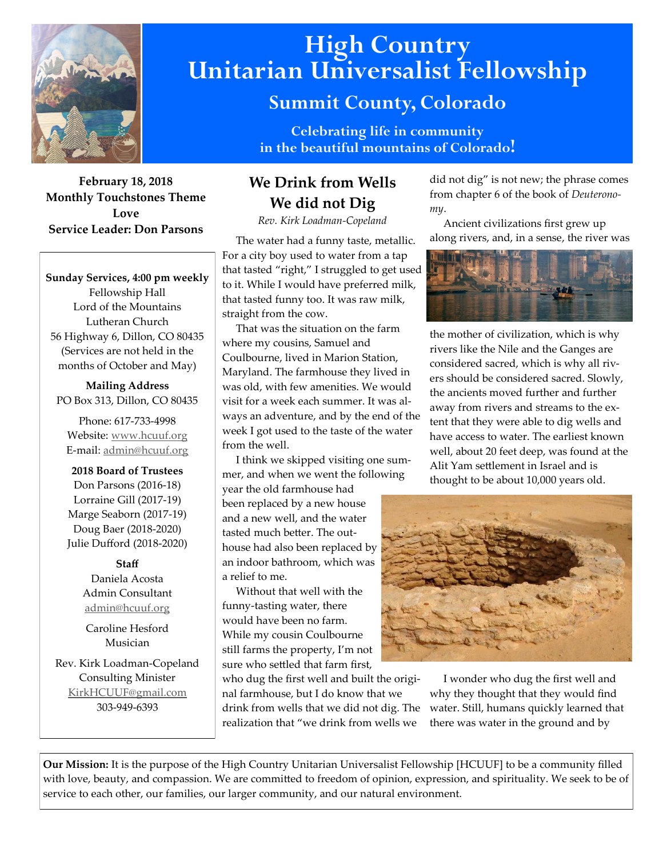

### **February 18, 2018 Monthly Touchstones Theme Love Service Leader: Don Parsons**

**Sunday Services, 4:00 pm weekly** Fellowship Hall Lord of the Mountains Lutheran Church 56 Highway 6, Dillon, CO 80435 (Services are not held in the months of October and May)

**Mailing Address** PO Box 313, Dillon, CO 80435

Phone: 617-733-4998 Website: [www.hcuuf.org](http://www.hcuuf.org/) E-mail: [admin@hcuuf.org](mailto:admin@hcuuf.org)

**2018 Board of Trustees** Don Parsons (2016-18) Lorraine Gill (2017-19) Marge Seaborn (2017-19) Doug Baer (2018-2020) Julie Dufford (2018-2020)

### **Staff**

Daniela Acosta Admin Consultant [admin@hcuuf.org](mailto:admin@hcuuf.org)

Caroline Hesford Musician

Rev. Kirk Loadman-Copeland Consulting Minister [KirkHCUUF@gmail.com](mailto:KirkHCUUF@gmail.com) 303-949-6393

# **High Country Unitarian Universalist Fellowship**

# **Summit County, Colorado**

**Celebrating life in community in the beautiful mountains of Colorado!** 

## **We Drink from Wells We did not Dig**

*Rev. Kirk Loadman-Copeland*

 The water had a funny taste, metallic. For a city boy used to water from a tap that tasted "right," I struggled to get used to it. While I would have preferred milk, that tasted funny too. It was raw milk, straight from the cow.

 That was the situation on the farm where my cousins, Samuel and Coulbourne, lived in Marion Station, Maryland. The farmhouse they lived in was old, with few amenities. We would visit for a week each summer. It was always an adventure, and by the end of the week I got used to the taste of the water from the well.

 I think we skipped visiting one summer, and when we went the following

year the old farmhouse had been replaced by a new house and a new well, and the water tasted much better. The outhouse had also been replaced by an indoor bathroom, which was a relief to me.

 Without that well with the funny-tasting water, there would have been no farm. While my cousin Coulbourne still farms the property, I'm not sure who settled that farm first,

who dug the first well and built the original farmhouse, but I do know that we drink from wells that we did not dig. The realization that "we drink from wells we

did not dig" is not new; the phrase comes from chapter 6 of the book of *Deuteronomy*.

 Ancient civilizations first grew up along rivers, and, in a sense, the river was



the mother of civilization, which is why rivers like the Nile and the Ganges are considered sacred, which is why all rivers should be considered sacred. Slowly, the ancients moved further and further away from rivers and streams to the extent that they were able to dig wells and have access to water. The earliest known well, about 20 feet deep, was found at the Alit Yam settlement in Israel and is thought to be about 10,000 years old.



 I wonder who dug the first well and why they thought that they would find water. Still, humans quickly learned that there was water in the ground and by

**Our Mission:** It is the purpose of the High Country Unitarian Universalist Fellowship [HCUUF] to be a community filled with love, beauty, and compassion. We are committed to freedom of opinion, expression, and spirituality. We seek to be of service to each other, our families, our larger community, and our natural environment.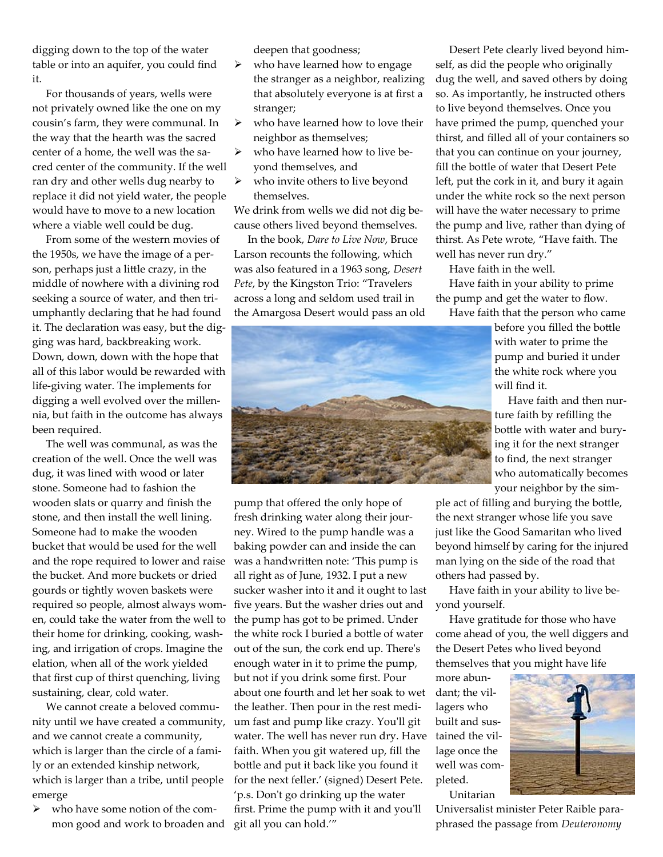digging down to the top of the water table or into an aquifer, you could find it.

 For thousands of years, wells were not privately owned like the one on my cousin's farm, they were communal. In the way that the hearth was the sacred center of a home, the well was the sacred center of the community. If the well ran dry and other wells dug nearby to replace it did not yield water, the people would have to move to a new location where a viable well could be dug.

 From some of the western movies of the 1950s, we have the image of a person, perhaps just a little crazy, in the middle of nowhere with a divining rod seeking a source of water, and then triumphantly declaring that he had found it. The declaration was easy, but the digging was hard, backbreaking work. Down, down, down with the hope that all of this labor would be rewarded with life-giving water. The implements for digging a well evolved over the millennia, but faith in the outcome has always been required.

 The well was communal, as was the creation of the well. Once the well was dug, it was lined with wood or later stone. Someone had to fashion the wooden slats or quarry and finish the stone, and then install the well lining. Someone had to make the wooden bucket that would be used for the well and the rope required to lower and raise the bucket. And more buckets or dried gourds or tightly woven baskets were required so people, almost always women, could take the water from the well to their home for drinking, cooking, washing, and irrigation of crops. Imagine the elation, when all of the work yielded that first cup of thirst quenching, living sustaining, clear, cold water.

 We cannot create a beloved community until we have created a community, and we cannot create a community, which is larger than the circle of a family or an extended kinship network, which is larger than a tribe, until people emerge

 $\triangleright$  who have some notion of the common good and work to broaden and deepen that goodness;

- $\triangleright$  who have learned how to engage the stranger as a neighbor, realizing that absolutely everyone is at first a stranger;
- $\triangleright$  who have learned how to love their neighbor as themselves;
- $\triangleright$  who have learned how to live beyond themselves, and
- $\triangleright$  who invite others to live beyond themselves.

We drink from wells we did not dig because others lived beyond themselves.

 In the book, *Dare to Live Now*, Bruce Larson recounts the following, which was also featured in a 1963 song, *Desert Pete*, by the Kingston Trio: "Travelers across a long and seldom used trail in the Amargosa Desert would pass an old

 Desert Pete clearly lived beyond himself, as did the people who originally dug the well, and saved others by doing so. As importantly, he instructed others to live beyond themselves. Once you have primed the pump, quenched your thirst, and filled all of your containers so that you can continue on your journey, fill the bottle of water that Desert Pete left, put the cork in it, and bury it again under the white rock so the next person will have the water necessary to prime the pump and live, rather than dying of thirst. As Pete wrote, "Have faith. The well has never run dry."

Have faith in the well.

 Have faith in your ability to prime the pump and get the water to flow.



before you filled the bottle with water to prime the pump and buried it under the white rock where you will find it.

 Have faith and then nurture faith by refilling the bottle with water and burying it for the next stranger to find, the next stranger who automatically becomes your neighbor by the sim-

ple act of filling and burying the bottle, the next stranger whose life you save just like the Good Samaritan who lived beyond himself by caring for the injured man lying on the side of the road that others had passed by.

 Have faith in your ability to live beyond yourself.

 Have gratitude for those who have come ahead of you, the well diggers and the Desert Petes who lived beyond themselves that you might have life

more abundant; the villagers who built and suslage once the well was completed. Unitarian



Universalist minister Peter Raible paraphrased the passage from *Deuteronomy*



fresh drinking water along their journey. Wired to the pump handle was a baking powder can and inside the can was a handwritten note: 'This pump is all right as of June, 1932. I put a new sucker washer into it and it ought to last five years. But the washer dries out and the pump has got to be primed. Under the white rock I buried a bottle of water out of the sun, the cork end up. There's enough water in it to prime the pump, but not if you drink some first. Pour about one fourth and let her soak to wet the leather. Then pour in the rest medium fast and pump like crazy. You'll git water. The well has never run dry. Have tained the vilfaith. When you git watered up, fill the bottle and put it back like you found it for the next feller.' (signed) Desert Pete. 'p.s. Don't go drinking up the water first. Prime the pump with it and you'll git all you can hold.'"

pump that offered the only hope of